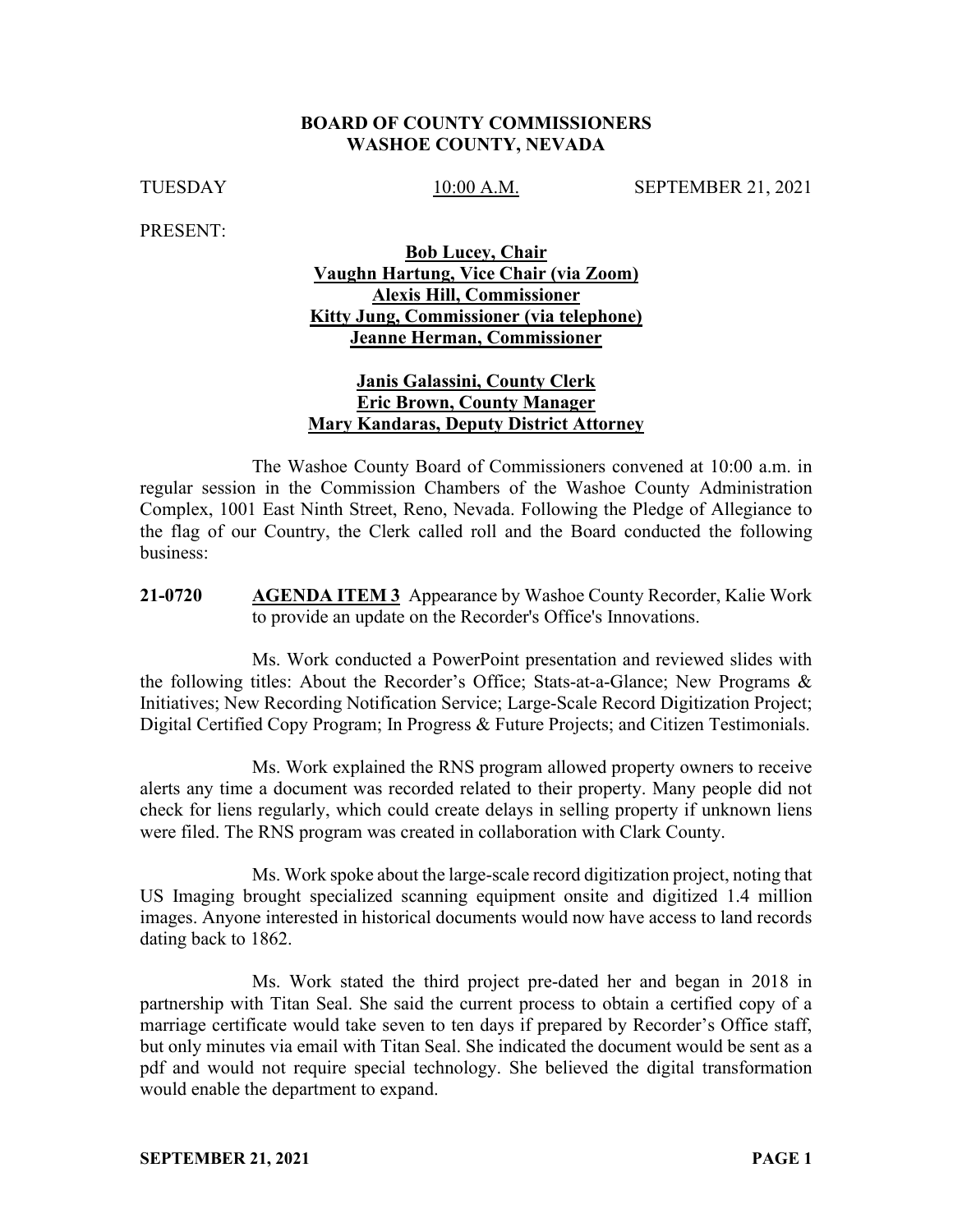### **BOARD OF COUNTY COMMISSIONERS WASHOE COUNTY, NEVADA**

TUESDAY 10:00 A.M. SEPTEMBER 21, 2021

PRESENT:

## **Bob Lucey, Chair Vaughn Hartung, Vice Chair (via Zoom) Alexis Hill, Commissioner Kitty Jung, Commissioner (via telephone) Jeanne Herman, Commissioner**

## **Janis Galassini, County Clerk Eric Brown, County Manager Mary Kandaras, Deputy District Attorney**

The Washoe County Board of Commissioners convened at 10:00 a.m. in regular session in the Commission Chambers of the Washoe County Administration Complex, 1001 East Ninth Street, Reno, Nevada. Following the Pledge of Allegiance to the flag of our Country, the Clerk called roll and the Board conducted the following business:

**21-0720 AGENDA ITEM 3** Appearance by Washoe County Recorder, Kalie Work to provide an update on the Recorder's Office's Innovations.

Ms. Work conducted a PowerPoint presentation and reviewed slides with the following titles: About the Recorder's Office; Stats-at-a-Glance; New Programs & Initiatives; New Recording Notification Service; Large-Scale Record Digitization Project; Digital Certified Copy Program; In Progress & Future Projects; and Citizen Testimonials.

Ms. Work explained the RNS program allowed property owners to receive alerts any time a document was recorded related to their property. Many people did not check for liens regularly, which could create delays in selling property if unknown liens were filed. The RNS program was created in collaboration with Clark County.

Ms. Work spoke about the large-scale record digitization project, noting that US Imaging brought specialized scanning equipment onsite and digitized 1.4 million images. Anyone interested in historical documents would now have access to land records dating back to 1862.

Ms. Work stated the third project pre-dated her and began in 2018 in partnership with Titan Seal. She said the current process to obtain a certified copy of a marriage certificate would take seven to ten days if prepared by Recorder's Office staff, but only minutes via email with Titan Seal. She indicated the document would be sent as a pdf and would not require special technology. She believed the digital transformation would enable the department to expand.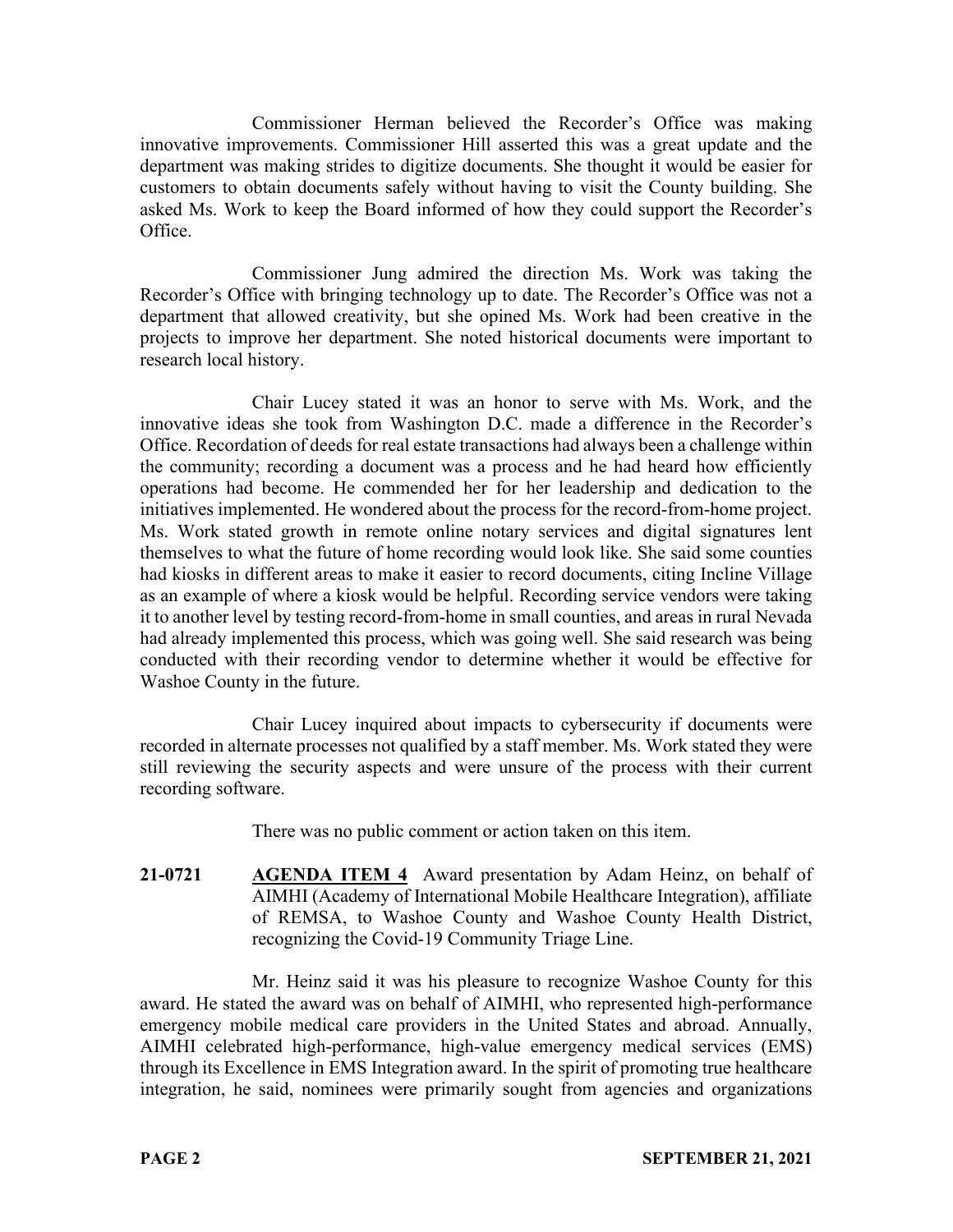Commissioner Herman believed the Recorder's Office was making innovative improvements. Commissioner Hill asserted this was a great update and the department was making strides to digitize documents. She thought it would be easier for customers to obtain documents safely without having to visit the County building. She asked Ms. Work to keep the Board informed of how they could support the Recorder's Office.

Commissioner Jung admired the direction Ms. Work was taking the Recorder's Office with bringing technology up to date. The Recorder's Office was not a department that allowed creativity, but she opined Ms. Work had been creative in the projects to improve her department. She noted historical documents were important to research local history.

Chair Lucey stated it was an honor to serve with Ms. Work, and the innovative ideas she took from Washington D.C. made a difference in the Recorder's Office. Recordation of deeds for real estate transactions had always been a challenge within the community; recording a document was a process and he had heard how efficiently operations had become. He commended her for her leadership and dedication to the initiatives implemented. He wondered about the process for the record-from-home project. Ms. Work stated growth in remote online notary services and digital signatures lent themselves to what the future of home recording would look like. She said some counties had kiosks in different areas to make it easier to record documents, citing Incline Village as an example of where a kiosk would be helpful. Recording service vendors were taking it to another level by testing record-from-home in small counties, and areas in rural Nevada had already implemented this process, which was going well. She said research was being conducted with their recording vendor to determine whether it would be effective for Washoe County in the future.

Chair Lucey inquired about impacts to cybersecurity if documents were recorded in alternate processes not qualified by a staff member. Ms. Work stated they were still reviewing the security aspects and were unsure of the process with their current recording software.

There was no public comment or action taken on this item.

**21-0721 AGENDA ITEM 4** Award presentation by Adam Heinz, on behalf of AIMHI (Academy of International Mobile Healthcare Integration), affiliate of REMSA, to Washoe County and Washoe County Health District, recognizing the Covid-19 Community Triage Line.

Mr. Heinz said it was his pleasure to recognize Washoe County for this award. He stated the award was on behalf of AIMHI, who represented high-performance emergency mobile medical care providers in the United States and abroad. Annually, AIMHI celebrated high-performance, high-value emergency medical services (EMS) through its Excellence in EMS Integration award. In the spirit of promoting true healthcare integration, he said, nominees were primarily sought from agencies and organizations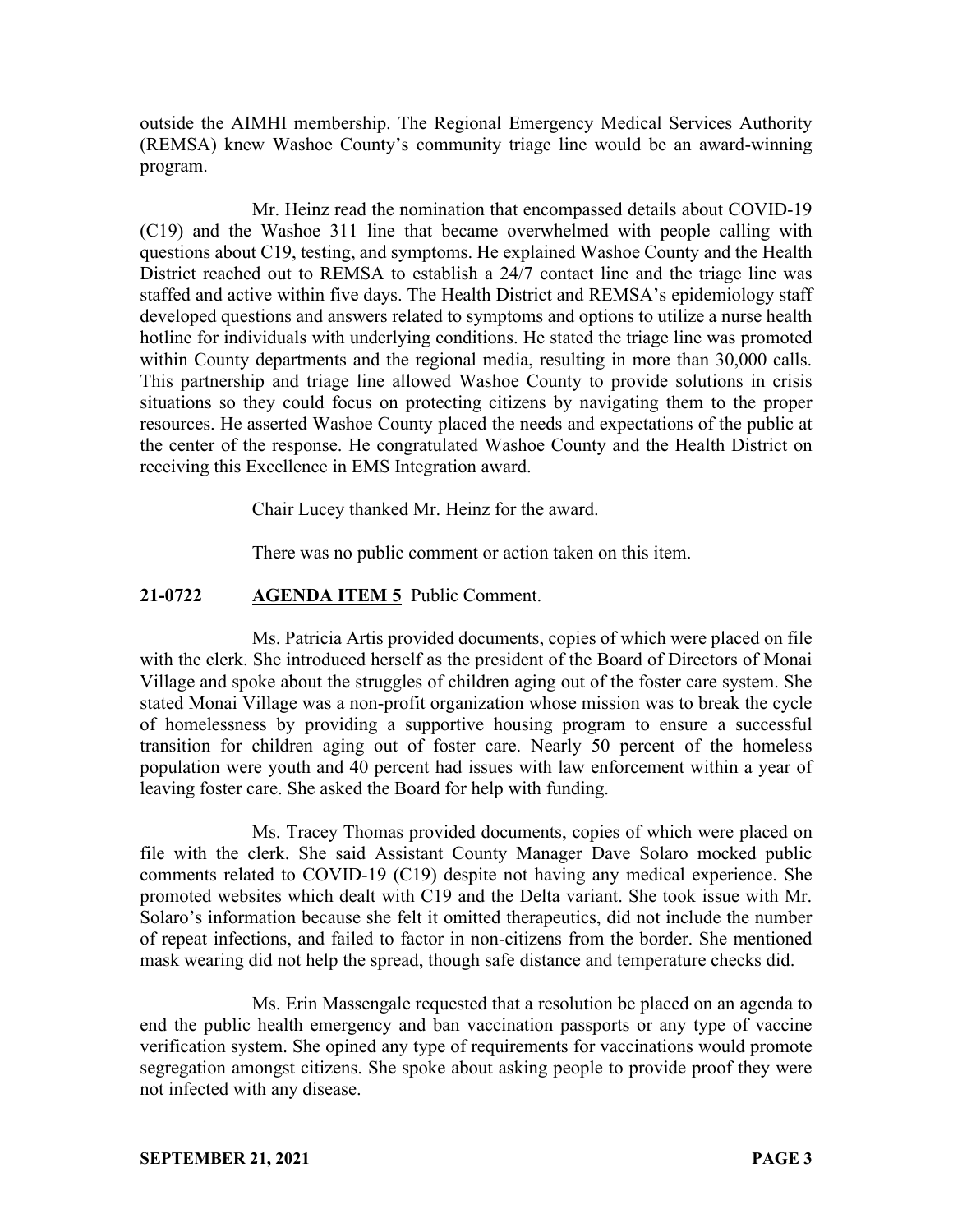outside the AIMHI membership. The Regional Emergency Medical Services Authority (REMSA) knew Washoe County's community triage line would be an award-winning program.

Mr. Heinz read the nomination that encompassed details about COVID-19 (C19) and the Washoe 311 line that became overwhelmed with people calling with questions about C19, testing, and symptoms. He explained Washoe County and the Health District reached out to REMSA to establish a 24/7 contact line and the triage line was staffed and active within five days. The Health District and REMSA's epidemiology staff developed questions and answers related to symptoms and options to utilize a nurse health hotline for individuals with underlying conditions. He stated the triage line was promoted within County departments and the regional media, resulting in more than 30,000 calls. This partnership and triage line allowed Washoe County to provide solutions in crisis situations so they could focus on protecting citizens by navigating them to the proper resources. He asserted Washoe County placed the needs and expectations of the public at the center of the response. He congratulated Washoe County and the Health District on receiving this Excellence in EMS Integration award.

Chair Lucey thanked Mr. Heinz for the award.

There was no public comment or action taken on this item.

## **21-0722 AGENDA ITEM 5** Public Comment.

Ms. Patricia Artis provided documents, copies of which were placed on file with the clerk. She introduced herself as the president of the Board of Directors of Monai Village and spoke about the struggles of children aging out of the foster care system. She stated Monai Village was a non-profit organization whose mission was to break the cycle of homelessness by providing a supportive housing program to ensure a successful transition for children aging out of foster care. Nearly 50 percent of the homeless population were youth and 40 percent had issues with law enforcement within a year of leaving foster care. She asked the Board for help with funding.

Ms. Tracey Thomas provided documents, copies of which were placed on file with the clerk. She said Assistant County Manager Dave Solaro mocked public comments related to COVID-19 (C19) despite not having any medical experience. She promoted websites which dealt with C19 and the Delta variant. She took issue with Mr. Solaro's information because she felt it omitted therapeutics, did not include the number of repeat infections, and failed to factor in non-citizens from the border. She mentioned mask wearing did not help the spread, though safe distance and temperature checks did.

Ms. Erin Massengale requested that a resolution be placed on an agenda to end the public health emergency and ban vaccination passports or any type of vaccine verification system. She opined any type of requirements for vaccinations would promote segregation amongst citizens. She spoke about asking people to provide proof they were not infected with any disease.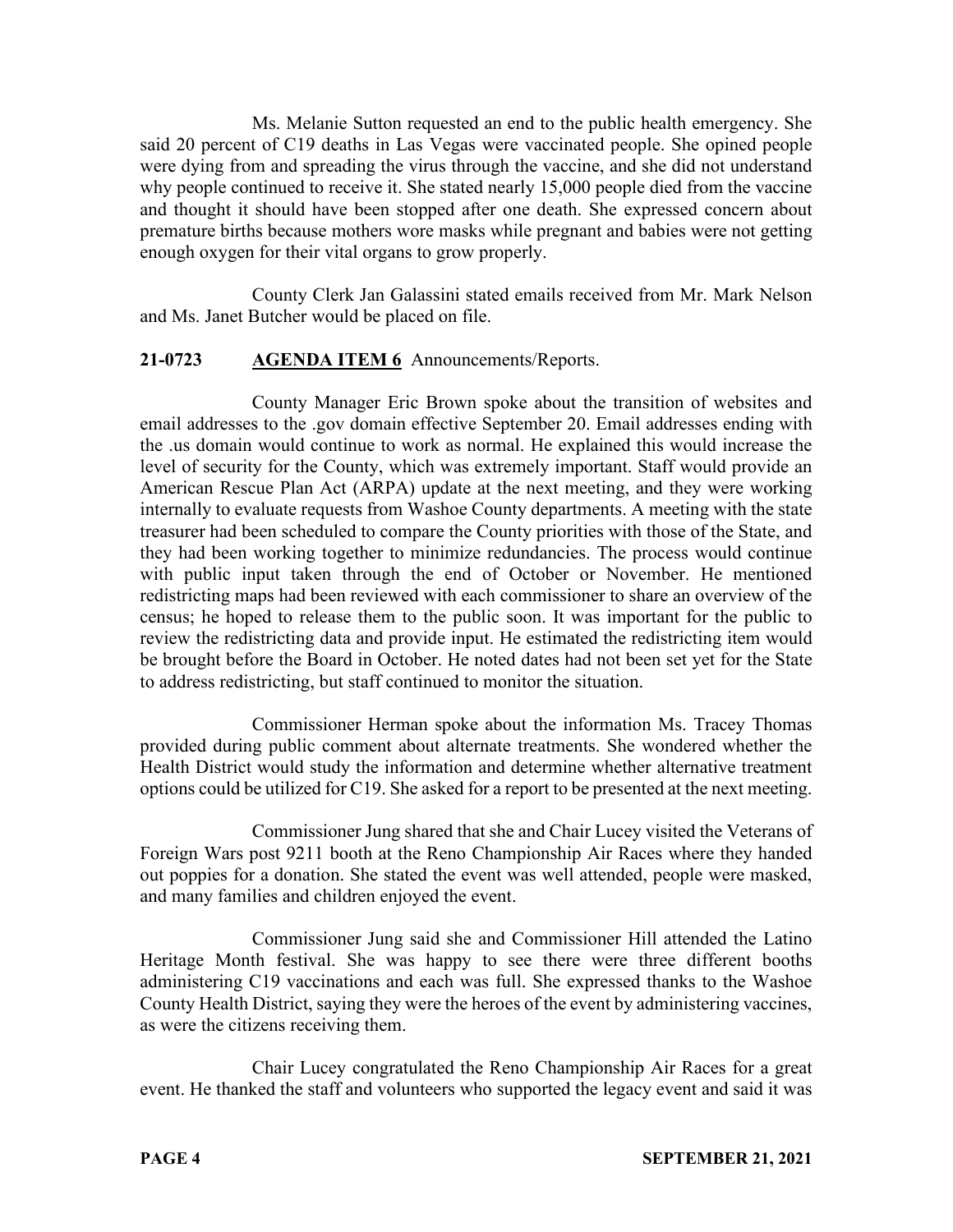Ms. Melanie Sutton requested an end to the public health emergency. She said 20 percent of C19 deaths in Las Vegas were vaccinated people. She opined people were dying from and spreading the virus through the vaccine, and she did not understand why people continued to receive it. She stated nearly 15,000 people died from the vaccine and thought it should have been stopped after one death. She expressed concern about premature births because mothers wore masks while pregnant and babies were not getting enough oxygen for their vital organs to grow properly.

County Clerk Jan Galassini stated emails received from Mr. Mark Nelson and Ms. Janet Butcher would be placed on file.

## **21-0723 AGENDA ITEM 6** Announcements/Reports.

County Manager Eric Brown spoke about the transition of websites and email addresses to the .gov domain effective September 20. Email addresses ending with the .us domain would continue to work as normal. He explained this would increase the level of security for the County, which was extremely important. Staff would provide an American Rescue Plan Act (ARPA) update at the next meeting, and they were working internally to evaluate requests from Washoe County departments. A meeting with the state treasurer had been scheduled to compare the County priorities with those of the State, and they had been working together to minimize redundancies. The process would continue with public input taken through the end of October or November. He mentioned redistricting maps had been reviewed with each commissioner to share an overview of the census; he hoped to release them to the public soon. It was important for the public to review the redistricting data and provide input. He estimated the redistricting item would be brought before the Board in October. He noted dates had not been set yet for the State to address redistricting, but staff continued to monitor the situation.

Commissioner Herman spoke about the information Ms. Tracey Thomas provided during public comment about alternate treatments. She wondered whether the Health District would study the information and determine whether alternative treatment options could be utilized for C19. She asked for a report to be presented at the next meeting.

Commissioner Jung shared that she and Chair Lucey visited the Veterans of Foreign Wars post 9211 booth at the Reno Championship Air Races where they handed out poppies for a donation. She stated the event was well attended, people were masked, and many families and children enjoyed the event.

Commissioner Jung said she and Commissioner Hill attended the Latino Heritage Month festival. She was happy to see there were three different booths administering C19 vaccinations and each was full. She expressed thanks to the Washoe County Health District, saying they were the heroes of the event by administering vaccines, as were the citizens receiving them.

Chair Lucey congratulated the Reno Championship Air Races for a great event. He thanked the staff and volunteers who supported the legacy event and said it was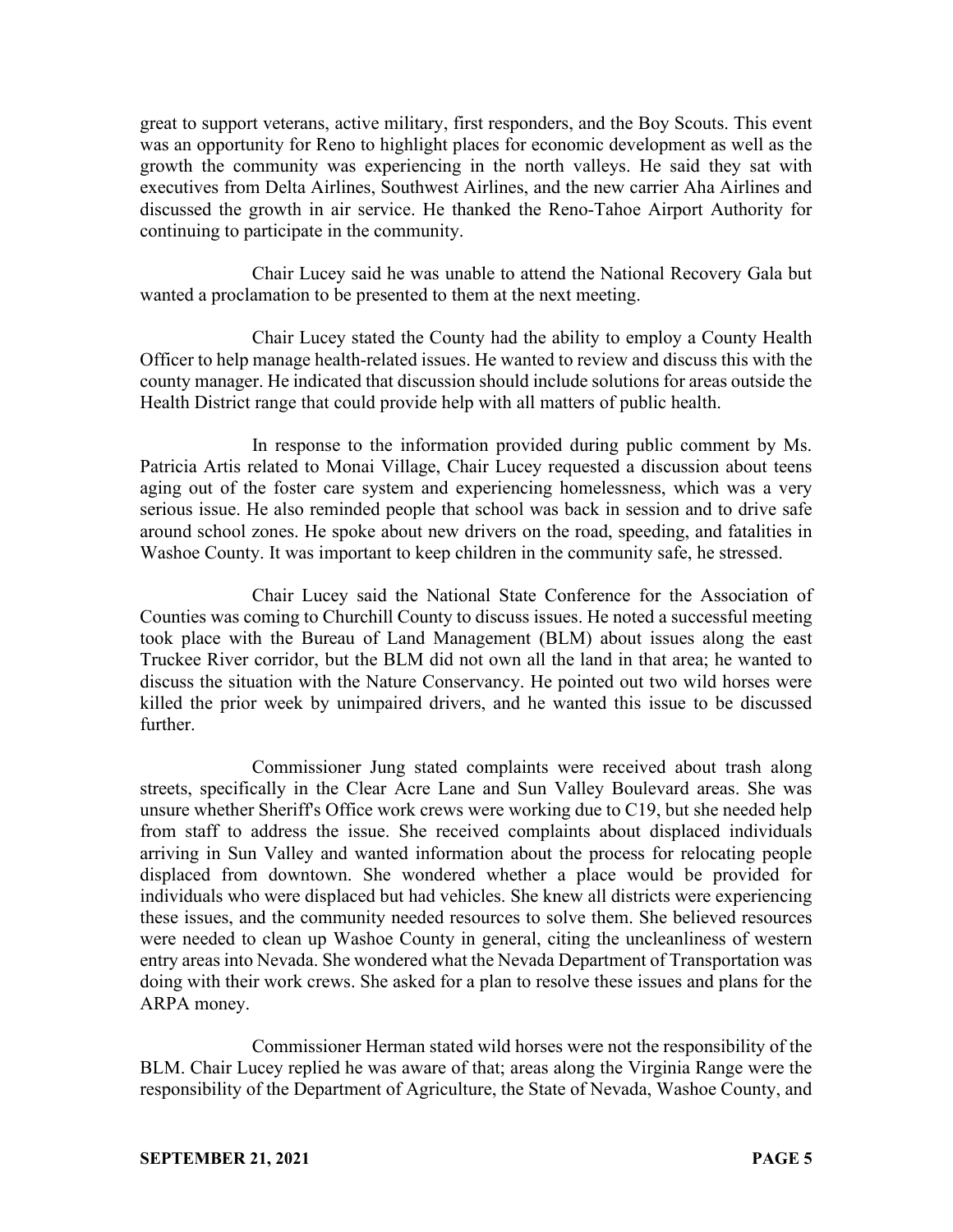great to support veterans, active military, first responders, and the Boy Scouts. This event was an opportunity for Reno to highlight places for economic development as well as the growth the community was experiencing in the north valleys. He said they sat with executives from Delta Airlines, Southwest Airlines, and the new carrier Aha Airlines and discussed the growth in air service. He thanked the Reno-Tahoe Airport Authority for continuing to participate in the community.

Chair Lucey said he was unable to attend the National Recovery Gala but wanted a proclamation to be presented to them at the next meeting.

Chair Lucey stated the County had the ability to employ a County Health Officer to help manage health-related issues. He wanted to review and discuss this with the county manager. He indicated that discussion should include solutions for areas outside the Health District range that could provide help with all matters of public health.

In response to the information provided during public comment by Ms. Patricia Artis related to Monai Village, Chair Lucey requested a discussion about teens aging out of the foster care system and experiencing homelessness, which was a very serious issue. He also reminded people that school was back in session and to drive safe around school zones. He spoke about new drivers on the road, speeding, and fatalities in Washoe County. It was important to keep children in the community safe, he stressed.

Chair Lucey said the National State Conference for the Association of Counties was coming to Churchill County to discuss issues. He noted a successful meeting took place with the Bureau of Land Management (BLM) about issues along the east Truckee River corridor, but the BLM did not own all the land in that area; he wanted to discuss the situation with the Nature Conservancy. He pointed out two wild horses were killed the prior week by unimpaired drivers, and he wanted this issue to be discussed further.

Commissioner Jung stated complaints were received about trash along streets, specifically in the Clear Acre Lane and Sun Valley Boulevard areas. She was unsure whether Sheriff's Office work crews were working due to C19, but she needed help from staff to address the issue. She received complaints about displaced individuals arriving in Sun Valley and wanted information about the process for relocating people displaced from downtown. She wondered whether a place would be provided for individuals who were displaced but had vehicles. She knew all districts were experiencing these issues, and the community needed resources to solve them. She believed resources were needed to clean up Washoe County in general, citing the uncleanliness of western entry areas into Nevada. She wondered what the Nevada Department of Transportation was doing with their work crews. She asked for a plan to resolve these issues and plans for the ARPA money.

Commissioner Herman stated wild horses were not the responsibility of the BLM. Chair Lucey replied he was aware of that; areas along the Virginia Range were the responsibility of the Department of Agriculture, the State of Nevada, Washoe County, and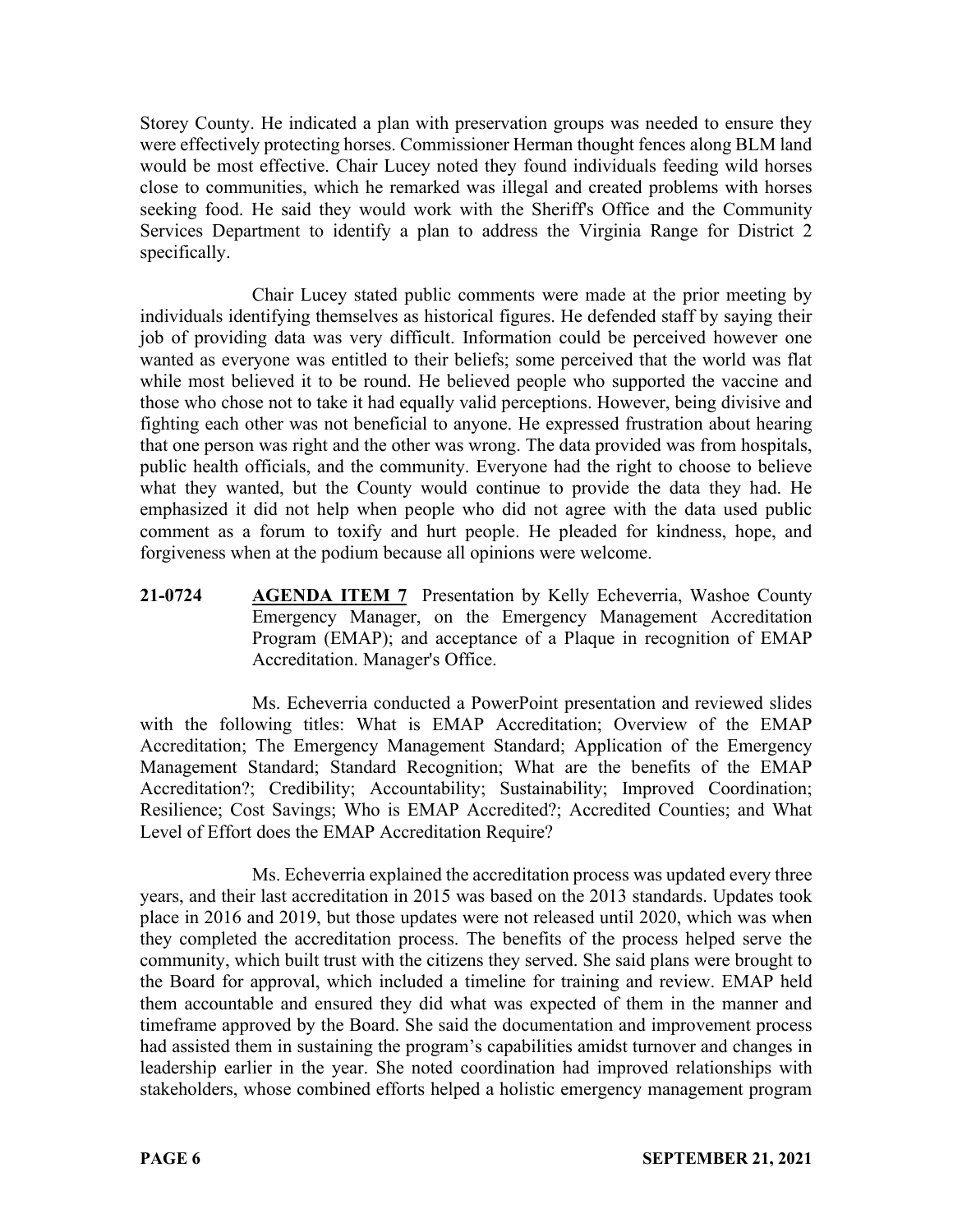Storey County. He indicated a plan with preservation groups was needed to ensure they were effectively protecting horses. Commissioner Herman thought fences along BLM land would be most effective. Chair Lucey noted they found individuals feeding wild horses close to communities, which he remarked was illegal and created problems with horses seeking food. He said they would work with the Sheriff's Office and the Community Services Department to identify a plan to address the Virginia Range for District 2 specifically.

Chair Lucey stated public comments were made at the prior meeting by individuals identifying themselves as historical figures. He defended staff by saying their job of providing data was very difficult. Information could be perceived however one wanted as everyone was entitled to their beliefs; some perceived that the world was flat while most believed it to be round. He believed people who supported the vaccine and those who chose not to take it had equally valid perceptions. However, being divisive and fighting each other was not beneficial to anyone. He expressed frustration about hearing that one person was right and the other was wrong. The data provided was from hospitals, public health officials, and the community. Everyone had the right to choose to believe what they wanted, but the County would continue to provide the data they had. He emphasized it did not help when people who did not agree with the data used public comment as a forum to toxify and hurt people. He pleaded for kindness, hope, and forgiveness when at the podium because all opinions were welcome.

**21-0724 AGENDA ITEM 7** Presentation by Kelly Echeverria, Washoe County Emergency Manager, on the Emergency Management Accreditation Program (EMAP); and acceptance of a Plaque in recognition of EMAP Accreditation. Manager's Office.

Ms. Echeverria conducted a PowerPoint presentation and reviewed slides with the following titles: What is EMAP Accreditation; Overview of the EMAP Accreditation; The Emergency Management Standard; Application of the Emergency Management Standard; Standard Recognition; What are the benefits of the EMAP Accreditation?; Credibility; Accountability; Sustainability; Improved Coordination; Resilience; Cost Savings; Who is EMAP Accredited?; Accredited Counties; and What Level of Effort does the EMAP Accreditation Require?

Ms. Echeverria explained the accreditation process was updated every three years, and their last accreditation in 2015 was based on the 2013 standards. Updates took place in 2016 and 2019, but those updates were not released until 2020, which was when they completed the accreditation process. The benefits of the process helped serve the community, which built trust with the citizens they served. She said plans were brought to the Board for approval, which included a timeline for training and review. EMAP held them accountable and ensured they did what was expected of them in the manner and timeframe approved by the Board. She said the documentation and improvement process had assisted them in sustaining the program's capabilities amidst turnover and changes in leadership earlier in the year. She noted coordination had improved relationships with stakeholders, whose combined efforts helped a holistic emergency management program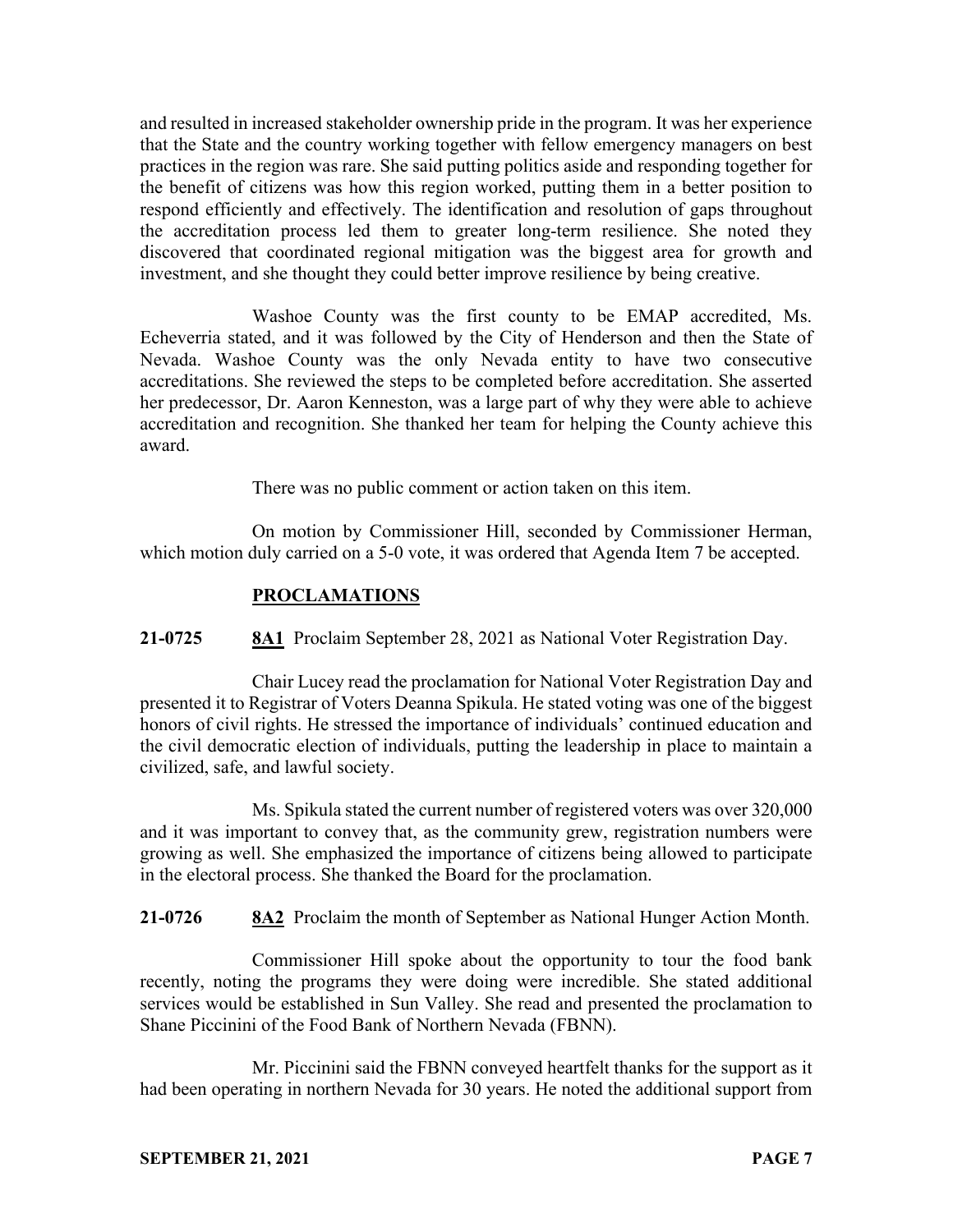and resulted in increased stakeholder ownership pride in the program. It was her experience that the State and the country working together with fellow emergency managers on best practices in the region was rare. She said putting politics aside and responding together for the benefit of citizens was how this region worked, putting them in a better position to respond efficiently and effectively. The identification and resolution of gaps throughout the accreditation process led them to greater long-term resilience. She noted they discovered that coordinated regional mitigation was the biggest area for growth and investment, and she thought they could better improve resilience by being creative.

Washoe County was the first county to be EMAP accredited, Ms. Echeverria stated, and it was followed by the City of Henderson and then the State of Nevada. Washoe County was the only Nevada entity to have two consecutive accreditations. She reviewed the steps to be completed before accreditation. She asserted her predecessor, Dr. Aaron Kenneston, was a large part of why they were able to achieve accreditation and recognition. She thanked her team for helping the County achieve this award.

There was no public comment or action taken on this item.

On motion by Commissioner Hill, seconded by Commissioner Herman, which motion duly carried on a 5-0 vote, it was ordered that Agenda Item 7 be accepted.

## **PROCLAMATIONS**

**21-0725 8A1** Proclaim September 28, 2021 as National Voter Registration Day.

Chair Lucey read the proclamation for National Voter Registration Day and presented it to Registrar of Voters Deanna Spikula. He stated voting was one of the biggest honors of civil rights. He stressed the importance of individuals' continued education and the civil democratic election of individuals, putting the leadership in place to maintain a civilized, safe, and lawful society.

Ms. Spikula stated the current number of registered voters was over 320,000 and it was important to convey that, as the community grew, registration numbers were growing as well. She emphasized the importance of citizens being allowed to participate in the electoral process. She thanked the Board for the proclamation.

**21-0726 8A2** Proclaim the month of September as National Hunger Action Month.

Commissioner Hill spoke about the opportunity to tour the food bank recently, noting the programs they were doing were incredible. She stated additional services would be established in Sun Valley. She read and presented the proclamation to Shane Piccinini of the Food Bank of Northern Nevada (FBNN).

Mr. Piccinini said the FBNN conveyed heartfelt thanks for the support as it had been operating in northern Nevada for 30 years. He noted the additional support from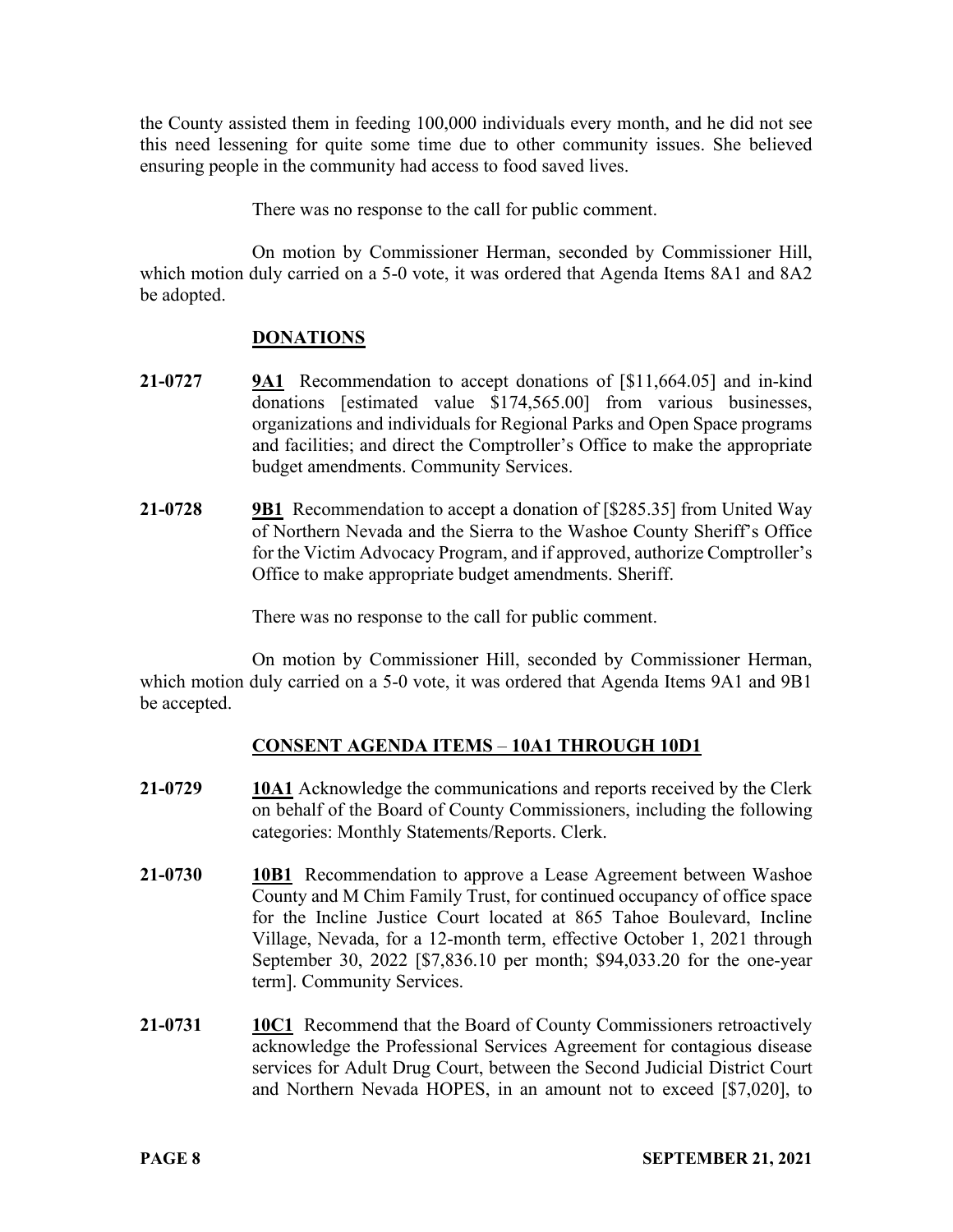the County assisted them in feeding 100,000 individuals every month, and he did not see this need lessening for quite some time due to other community issues. She believed ensuring people in the community had access to food saved lives.

There was no response to the call for public comment.

On motion by Commissioner Herman, seconded by Commissioner Hill, which motion duly carried on a 5-0 vote, it was ordered that Agenda Items 8A1 and 8A2 be adopted.

# **DONATIONS**

- **21-0727 9A1** Recommendation to accept donations of [\$11,664.05] and in-kind donations [estimated value \$174,565.00] from various businesses, organizations and individuals for Regional Parks and Open Space programs and facilities; and direct the Comptroller's Office to make the appropriate budget amendments. Community Services.
- **21-0728 9B1** Recommendation to accept a donation of [\$285.35] from United Way of Northern Nevada and the Sierra to the Washoe County Sheriff's Office for the Victim Advocacy Program, and if approved, authorize Comptroller's Office to make appropriate budget amendments. Sheriff.

There was no response to the call for public comment.

On motion by Commissioner Hill, seconded by Commissioner Herman, which motion duly carried on a 5-0 vote, it was ordered that Agenda Items 9A1 and 9B1 be accepted.

# **CONSENT AGENDA ITEMS** – **10A1 THROUGH 10D1**

- **21-0729 10A1** Acknowledge the communications and reports received by the Clerk on behalf of the Board of County Commissioners, including the following categories: Monthly Statements/Reports. Clerk.
- **21-0730 10B1** Recommendation to approve a Lease Agreement between Washoe County and M Chim Family Trust, for continued occupancy of office space for the Incline Justice Court located at 865 Tahoe Boulevard, Incline Village, Nevada, for a 12-month term, effective October 1, 2021 through September 30, 2022 [\$7,836.10 per month; \$94,033.20 for the one-year term]. Community Services.
- **21-0731 10C1** Recommend that the Board of County Commissioners retroactively acknowledge the Professional Services Agreement for contagious disease services for Adult Drug Court, between the Second Judicial District Court and Northern Nevada HOPES, in an amount not to exceed [\$7,020], to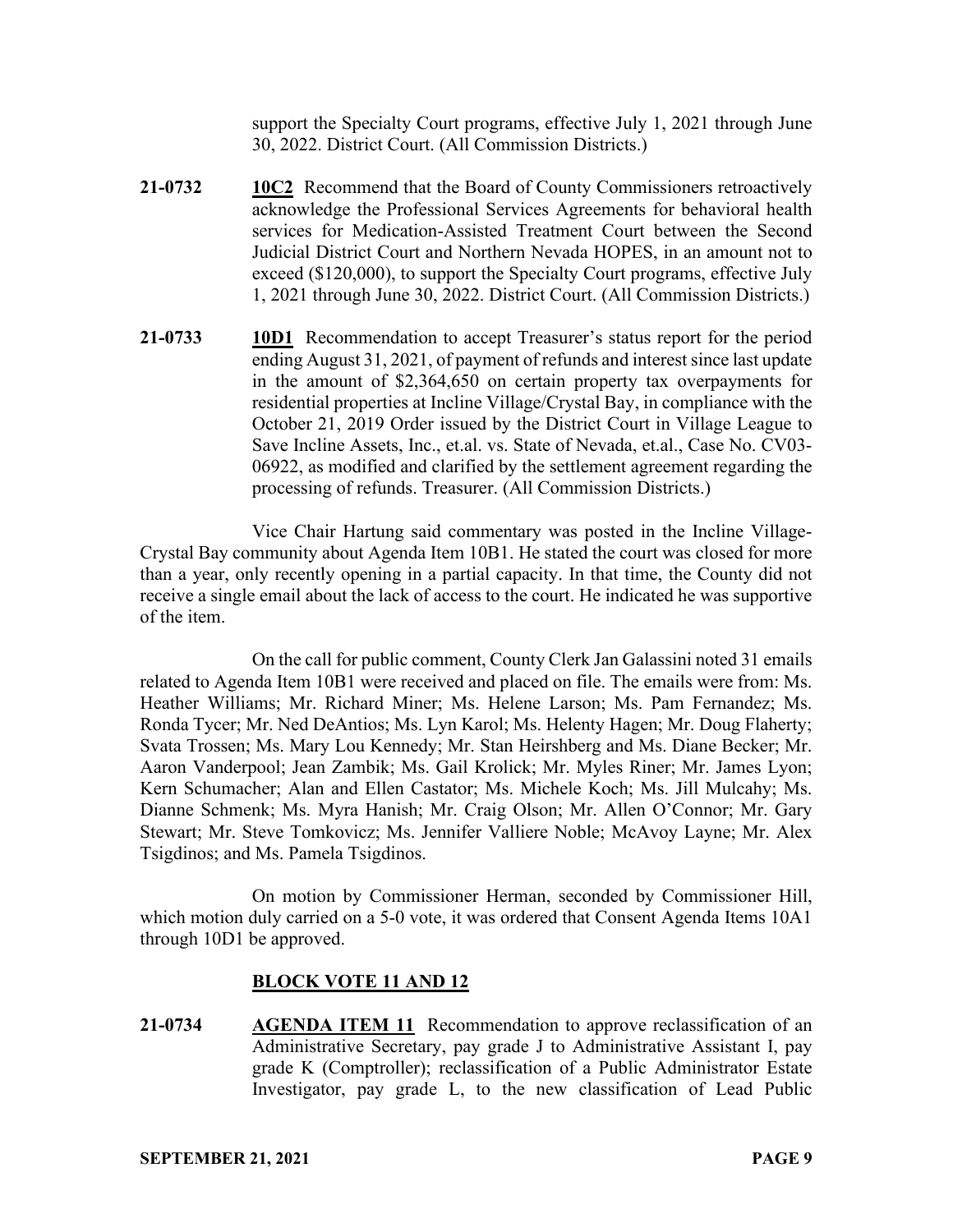support the Specialty Court programs, effective July 1, 2021 through June 30, 2022. District Court. (All Commission Districts.)

- **21-0732 10C2** Recommend that the Board of County Commissioners retroactively acknowledge the Professional Services Agreements for behavioral health services for Medication-Assisted Treatment Court between the Second Judicial District Court and Northern Nevada HOPES, in an amount not to exceed (\$120,000), to support the Specialty Court programs, effective July 1, 2021 through June 30, 2022. District Court. (All Commission Districts.)
- **21-0733 10D1** Recommendation to accept Treasurer's status report for the period ending August 31, 2021, of payment of refunds and interest since last update in the amount of \$2,364,650 on certain property tax overpayments for residential properties at Incline Village/Crystal Bay, in compliance with the October 21, 2019 Order issued by the District Court in Village League to Save Incline Assets, Inc., et.al. vs. State of Nevada, et.al., Case No. CV03- 06922, as modified and clarified by the settlement agreement regarding the processing of refunds. Treasurer. (All Commission Districts.)

Vice Chair Hartung said commentary was posted in the Incline Village-Crystal Bay community about Agenda Item 10B1. He stated the court was closed for more than a year, only recently opening in a partial capacity. In that time, the County did not receive a single email about the lack of access to the court. He indicated he was supportive of the item.

On the call for public comment, County Clerk Jan Galassini noted 31 emails related to Agenda Item 10B1 were received and placed on file. The emails were from: Ms. Heather Williams; Mr. Richard Miner; Ms. Helene Larson; Ms. Pam Fernandez; Ms. Ronda Tycer; Mr. Ned DeAntios; Ms. Lyn Karol; Ms. Helenty Hagen; Mr. Doug Flaherty; Svata Trossen; Ms. Mary Lou Kennedy; Mr. Stan Heirshberg and Ms. Diane Becker; Mr. Aaron Vanderpool; Jean Zambik; Ms. Gail Krolick; Mr. Myles Riner; Mr. James Lyon; Kern Schumacher; Alan and Ellen Castator; Ms. Michele Koch; Ms. Jill Mulcahy; Ms. Dianne Schmenk; Ms. Myra Hanish; Mr. Craig Olson; Mr. Allen O'Connor; Mr. Gary Stewart; Mr. Steve Tomkovicz; Ms. Jennifer Valliere Noble; McAvoy Layne; Mr. Alex Tsigdinos; and Ms. Pamela Tsigdinos.

On motion by Commissioner Herman, seconded by Commissioner Hill, which motion duly carried on a 5-0 vote, it was ordered that Consent Agenda Items 10A1 through 10D1 be approved.

## **BLOCK VOTE 11 AND 12**

**21-0734 AGENDA ITEM 11** Recommendation to approve reclassification of an Administrative Secretary, pay grade J to Administrative Assistant I, pay grade K (Comptroller); reclassification of a Public Administrator Estate Investigator, pay grade L, to the new classification of Lead Public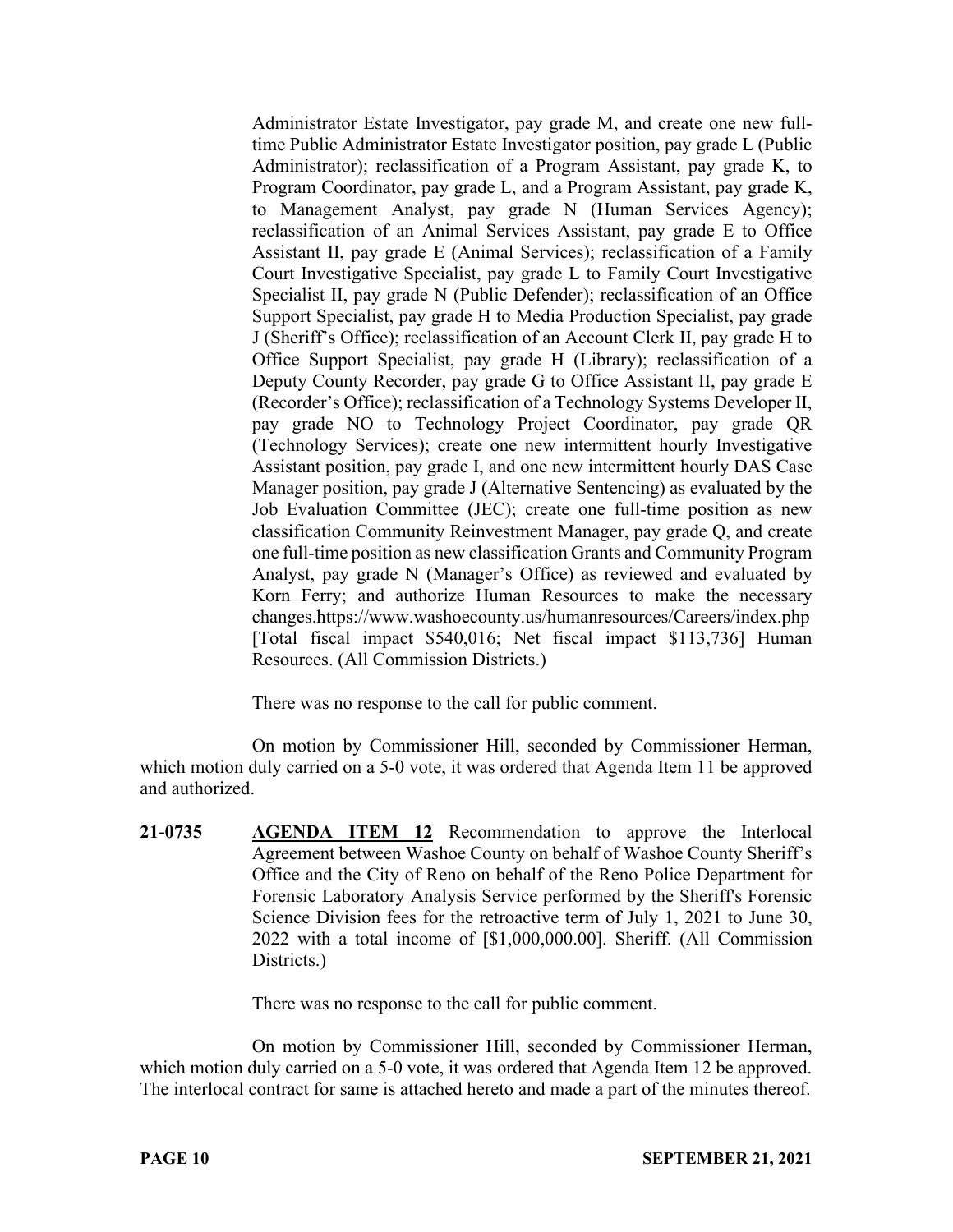Administrator Estate Investigator, pay grade M, and create one new fulltime Public Administrator Estate Investigator position, pay grade L (Public Administrator); reclassification of a Program Assistant, pay grade K, to Program Coordinator, pay grade L, and a Program Assistant, pay grade K, to Management Analyst, pay grade N (Human Services Agency); reclassification of an Animal Services Assistant, pay grade E to Office Assistant II, pay grade E (Animal Services); reclassification of a Family Court Investigative Specialist, pay grade L to Family Court Investigative Specialist II, pay grade N (Public Defender); reclassification of an Office Support Specialist, pay grade H to Media Production Specialist, pay grade J (Sheriff's Office); reclassification of an Account Clerk II, pay grade H to Office Support Specialist, pay grade H (Library); reclassification of a Deputy County Recorder, pay grade G to Office Assistant II, pay grade E (Recorder's Office); reclassification of a Technology Systems Developer II, pay grade NO to Technology Project Coordinator, pay grade QR (Technology Services); create one new intermittent hourly Investigative Assistant position, pay grade I, and one new intermittent hourly DAS Case Manager position, pay grade J (Alternative Sentencing) as evaluated by the Job Evaluation Committee (JEC); create one full-time position as new classification Community Reinvestment Manager, pay grade Q, and create one full-time position as new classification Grants and Community Program Analyst, pay grade N (Manager's Office) as reviewed and evaluated by Korn Ferry; and authorize Human Resources to make the necessary changes.https://www.washoecounty.us/humanresources/Careers/index.php [Total fiscal impact \$540,016; Net fiscal impact \$113,736] Human Resources. (All Commission Districts.)

There was no response to the call for public comment.

On motion by Commissioner Hill, seconded by Commissioner Herman, which motion duly carried on a 5-0 vote, it was ordered that Agenda Item 11 be approved and authorized.

**21-0735 AGENDA ITEM 12** Recommendation to approve the Interlocal Agreement between Washoe County on behalf of Washoe County Sheriff's Office and the City of Reno on behalf of the Reno Police Department for Forensic Laboratory Analysis Service performed by the Sheriff's Forensic Science Division fees for the retroactive term of July 1, 2021 to June 30, 2022 with a total income of [\$1,000,000.00]. Sheriff. (All Commission Districts.)

There was no response to the call for public comment.

On motion by Commissioner Hill, seconded by Commissioner Herman, which motion duly carried on a 5-0 vote, it was ordered that Agenda Item 12 be approved. The interlocal contract for same is attached hereto and made a part of the minutes thereof.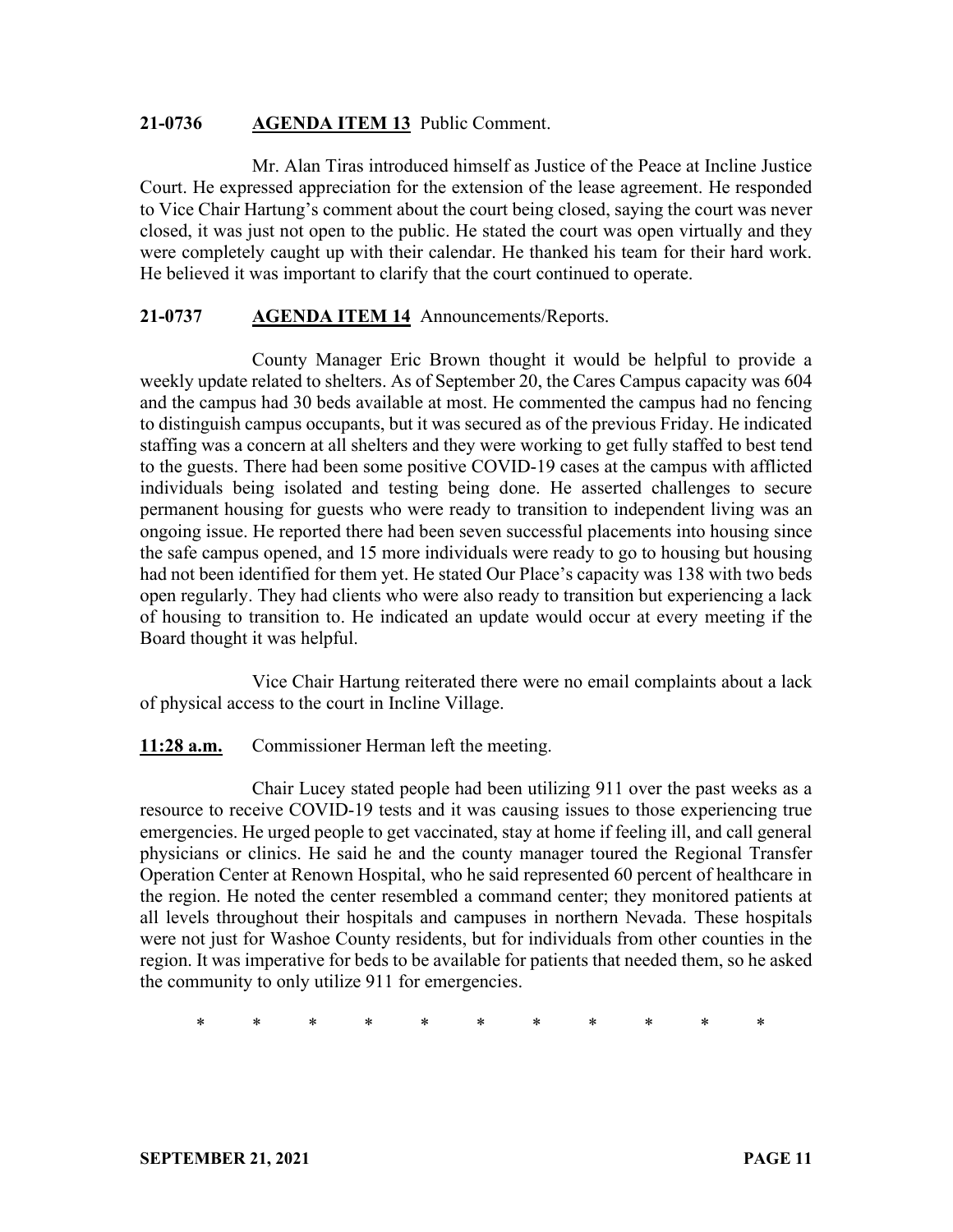### **21-0736 AGENDA ITEM 13** Public Comment.

Mr. Alan Tiras introduced himself as Justice of the Peace at Incline Justice Court. He expressed appreciation for the extension of the lease agreement. He responded to Vice Chair Hartung's comment about the court being closed, saying the court was never closed, it was just not open to the public. He stated the court was open virtually and they were completely caught up with their calendar. He thanked his team for their hard work. He believed it was important to clarify that the court continued to operate.

### **21-0737 AGENDA ITEM 14** Announcements/Reports.

County Manager Eric Brown thought it would be helpful to provide a weekly update related to shelters. As of September 20, the Cares Campus capacity was 604 and the campus had 30 beds available at most. He commented the campus had no fencing to distinguish campus occupants, but it was secured as of the previous Friday. He indicated staffing was a concern at all shelters and they were working to get fully staffed to best tend to the guests. There had been some positive COVID-19 cases at the campus with afflicted individuals being isolated and testing being done. He asserted challenges to secure permanent housing for guests who were ready to transition to independent living was an ongoing issue. He reported there had been seven successful placements into housing since the safe campus opened, and 15 more individuals were ready to go to housing but housing had not been identified for them yet. He stated Our Place's capacity was 138 with two beds open regularly. They had clients who were also ready to transition but experiencing a lack of housing to transition to. He indicated an update would occur at every meeting if the Board thought it was helpful.

Vice Chair Hartung reiterated there were no email complaints about a lack of physical access to the court in Incline Village.

## **11:28 a.m.** Commissioner Herman left the meeting.

Chair Lucey stated people had been utilizing 911 over the past weeks as a resource to receive COVID-19 tests and it was causing issues to those experiencing true emergencies. He urged people to get vaccinated, stay at home if feeling ill, and call general physicians or clinics. He said he and the county manager toured the Regional Transfer Operation Center at Renown Hospital, who he said represented 60 percent of healthcare in the region. He noted the center resembled a command center; they monitored patients at all levels throughout their hospitals and campuses in northern Nevada. These hospitals were not just for Washoe County residents, but for individuals from other counties in the region. It was imperative for beds to be available for patients that needed them, so he asked the community to only utilize 911 for emergencies.

\* \* \* \* \* \* \* \* \* \* \*